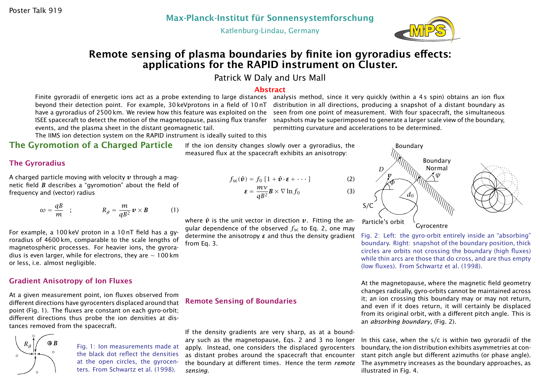Katlenburg-Lindau, Germany



# Remote sensing of plasma boundaries by finite ion gyroradius effects: applications for the RAPID instrument on Cluster.

Patrick W Daly and Urs Mall

#### Abstract

ISEE spacecraft to detect the motion of the magnetopause, passing flux transfer events, and the plasma sheet in the distant geomagnetic tail.

Finite gyroradii of energetic ions act as a probe extending to large distances  $\,$  analysis method, since it very quickly (within a 4s spin) obtains an ion flux beyond their detection point. For example, 30 keVprotons in a field of 10 nT  $\,$  distribution in all directions, producing a snapshot of a distant boundary as have a gyroradius of 2500 km. We review how this feature was exploited on the wseen from one point of measurement. With four spacecraft, the simultaneous snapshots may be superimposed to generate a larger scale view of the boundary, permitting curvature and accelerations to be determined.

The IIMS ion detection system on the RAPID instrument is ideally suited to this

# The Gyromotion of a Charged Particle

#### The Gyroradius

A charged particle moving with velocity *v* through a magnetic field *B* describes a "gyromotion" about the field of frequency and (vector) radius

$$
\omega = \frac{qB}{m} \quad ; \qquad R_g = \frac{m}{qB^2} \mathbf{v} \times \mathbf{B} \qquad (1)
$$

For example, a 100 keV proton in a 10 nT field has a gyroradius of 4600 km, comparable to the scale lengths of magnetospheric processes. For heavier ions, the gyroradius is even larger, while for electrons, they are ∼ 100 km or less, i.e. almost negligible.

#### Gradient Anisotropy of Ion Fluxes

At a given measurement point, ion fluxes observed from different directions have gyrocenters displaced around that point (Fig. 1). The fluxes are constant on each gyro-orbit; different directions thus probe the ion densities at distances removed from the spacecraft.



Fig. 1: Ion measurements made at the black dot reflect the densities at the open circles, the gyrocenters. From Schwartz et al. (1998).

If the ion density changes slowly over a gyroradius, the measured flux at the spacecraft exhibits an anisotropy:

$$
f_{\text{sc}}(\hat{\boldsymbol{v}}) = f_0 \left[ 1 + \hat{\boldsymbol{v}} \cdot \boldsymbol{\epsilon} + \cdots \right] \tag{2}
$$

$$
\boldsymbol{\epsilon} = \frac{m\mathcal{V}}{qB^2} \boldsymbol{B} \times \nabla \ln f_0 \tag{3}
$$

where  $\hat{v}$  is the unit vector in direction  $v$ . Fitting the angular dependence of the observed *f*sc to Eq. 2, one may determine the anisotropy *ε* and thus the density gradient from Eq. 3.

### Remote Sensing of Boundaries

If the density gradients are very sharp, as at a boundary such as the magnetopause, Eqs. 2 and 3 no longer apply. Instead, one considers the displaced gyrocenters as distant probes around the spacecraft that encounter the boundary at different times. Hence the term *remote sensing*.



Fig. 2: Left: the gyro-orbit entirely inside an "absorbing" boundary. Right: snapshot of the boundary position, thick circles are orbits not crossing the boundary (high fluxes) while thin arcs are those that do cross, and are thus empty (low fluxes). From Schwartz et al. (1998).

At the magnetopause, where the magnetic field geometry changes radically, gyro-orbits cannot be maintained across it; an ion crossing this boundary may or may not return, and even if it does return, it will certainly be displaced from its original orbit, with a different pitch angle. This is an *absorbing boundary*, (Fig. 2).

In this case, when the s/c is within two gyroradii of the boundary, the ion distribution exhibits asymmetries at constant pitch angle but different azimuths (or phase angle). The asymmetry increases as the boundary approaches, as illustrated in Fig. 4.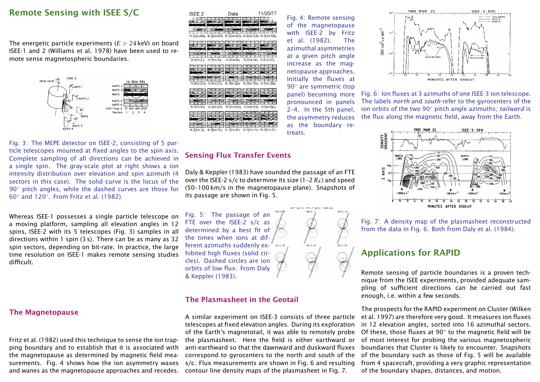### Remote Sensing with ISEE S/C

The energetic particle experiments (*E >* 24 keV) on board ISEE-1 and 2 (Williams et al. 1978) have been used to remote sense magnetospheric boundaries.



**ISEE 2** 11/20/77 Data

Fig. 3: The MEPE detector on ISEE-2, consisting of 5 particle telescopes mounted at fixed angles to the spin axis. Complete sampling of all directions can be achieved in a single spin. The gray-scale plot at right shows a ion intensity distribution over elevation and spin azimuth (4 sectors in this case). The solid curve is the locus of the 90◦ pitch angles, while the dashed curves are those for 60◦ and 120◦ . From Fritz et al. (1982).

Whereas ISEE-1 possesses a single particle telescope on a moving platform, sampling all elevation angles in 12 spins, ISEE-2 with its 5 telescopes (Fig. 3) samples in all directions within 1 spin (3 s). There can be as many as 32 spin sectors, depending on bit-rate. In practice, the large time resolution on ISEE-1 makes remote sensing studies difficult.

#### The Magnetopause

Fritz et al. (1982) used this technique to sense the ion trapping boundary and to establish that it is associated with the magnetopause as determined by magnetic field measurements. Fig. 4 shows how the ion asymmetry waxes and wanes as the magnetopause approaches and recedes. contour line density maps of the plasmasheet in Fig. 7.

### Sensing Flux Transfer Events

Daly & Keppler (1983) have sounded the passage of an FTE over the ISEE-2 s/c to determine its size  $(1-2 R_F)$  and speed (50–100 km/s in the magnetopause plane). Snapshots of its passage are shown in Fig. 5.

treats.

Fig. 4: Remote sensing of the magnetopause with ISEE-2 by Fritz et al. (1982). The azimuthal asymmetries at a given pitch angle increase as the magnetopause approaches. Initially the fluxes at 90<sup>°</sup> are symmetric (top panel) becoming more pronounced in panels 2–4. In the 5th panel, the asymmetry reduces as the boundary re-

Fig. 5: The passage of an FTE over the ISEE-2 s/c as determined by a best fit of the times when ions at different azimuths suddenly exhibited high fluxes (solid circles). Dashed circles are ion orbits of low flux. From Daly & Keppler (1983).

#### The Plasmasheet in the Geotail

A similar experiment on ISEE-3 consists of three particle telescopes at fixed elevation angles. During its exploration of the Earth's magnetotail, it was able to remotely probe the plasmasheet. Here the field is either earthward or anti-earthward so that the dawnward and duskward fluxes correspond to gyrocenters to the north and south of the s/c. Flux measurements are shown in Fig. 6 and resulting



Fig. 6: Ion fluxes at 3 azimuths of one ISEE-3 ion telescope. The labels *north* and *south* refer to the gyrocenters of the ion orbits of the two 90◦ pitch angle azimuths; *tailward* is the flux along the magnetic field, away from the Earth.



Fig. 7: A density map of the plasmasheet reconstructed from the data in Fig. 6. Both from Daly et al. (1984).

## Applications for RAPID

Remote sensing of particle boundaries is a proven technique from the ISEE experiments, provided adequate sampling of sufficient directions can be carried out fast enough, i.e. within a few seconds.

The prospects for the RAPID experiment on Cluster (Wilken et al. 1997) are therefore very good. It measures ion fluxes in 12 elevation angles, sorted into 16 azimuthal sectors. Of these, those fluxes at  $90^{\circ}$  to the magnetic field will be of most interest for probing the various magnetospheric boundaries that Cluster is likely to encounter. Snapshots of the boundary such as those of Fig. 5 will be available from 4 spacecraft, providing a very graphic representation of the boundary shapes, distances, and motion.